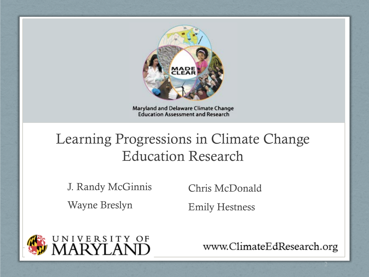

Maryland and Delaware Climate Change **Education Assessment and Research** 

#### Learning Progressions in Climate Change Education Research

J. Randy McGinnis Wayne Breslyn

Chris McDonald

Emily Hestness



www.ClimateEdResearch.org

2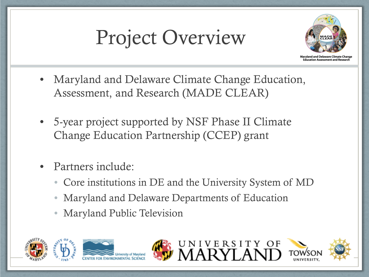# Project Overview



**Maryland and Delaware Climate Chang** Education Assessment and Rese

- Maryland and Delaware Climate Change Education, Assessment, and Research (MADE CLEAR)
- 5-year project supported by NSF Phase II Climate Change Education Partnership (CCEP) grant
- Partners include:
	- Core institutions in DE and the University System of MD
	- Maryland and Delaware Departments of Education
	- Maryland Public Television









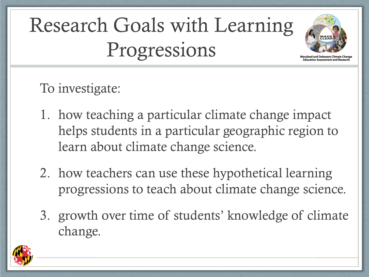# Research Goals with Learning Progressions



To investigate:

- 1. how teaching a particular climate change impact helps students in a particular geographic region to learn about climate change science.
- 2. how teachers can use these hypothetical learning progressions to teach about climate change science.
- 3. growth over time of students' knowledge of climate change.

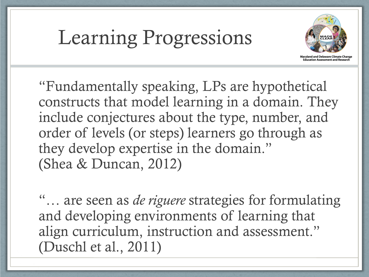### Learning Progressions



Maryland and Delaware Climate Change Education Assessment and Res

"Fundamentally speaking, LPs are hypothetical constructs that model learning in a domain. They include conjectures about the type, number, and order of levels (or steps) learners go through as they develop expertise in the domain." (Shea & Duncan, 2012)

"… are seen as *de riguere* strategies for formulating and developing environments of learning that align curriculum, instruction and assessment." (Duschl et al., 2011)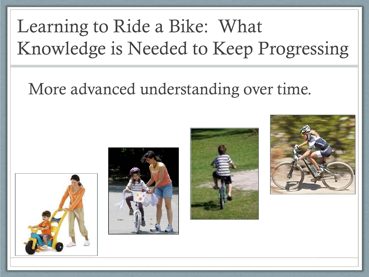### Learning to Ride a Bike: What Knowledge is Needed to Keep Progressing

#### More advanced understanding over time.







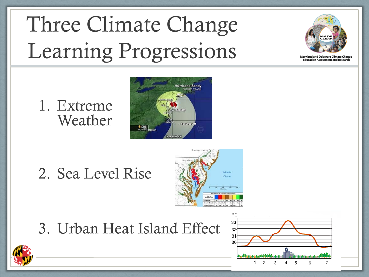# Three Climate Change Learning Progressions



**Maryland and Delaware Climate Change Education Assessment and Research** 

1. Extreme Weather



#### 2. Sea Level Rise



#### 3. Urban Heat Island Effect



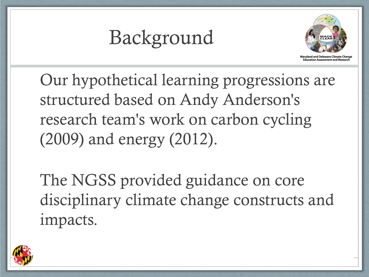### Background



land and Delaware Climate Change **Education Assessment and Researc** 

Our hypothetical learning progressions are structured based on Andy Anderson's research team's work on carbon cycling (2009) and energy (2012).

The NGSS provided guidance on core disciplinary climate change constructs and impacts.

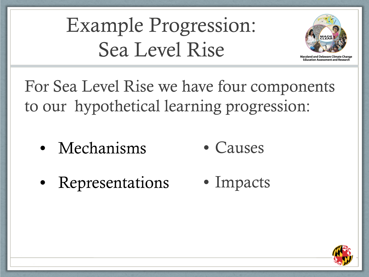Example Progression: Sea Level Rise



**Education Assessment and Res** 

For Sea Level Rise we have four components to our hypothetical learning progression:

- Causes • Mechanisms
- Impacts • Representations

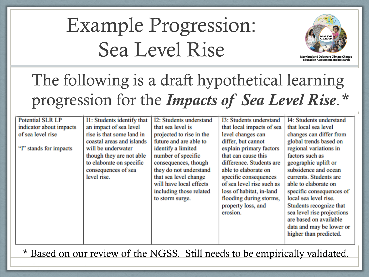# Example Progression: Sea Level Rise



#### The following is a draft hypothetical learning progression for the *Impacts of Sea Level Rise*.*\**

| <b>Potential SLR LP</b><br>indicator about impacts | I1: Students identify that<br>an impact of sea level | I2: Students understand<br>that sea level is | <b>I3: Students understand</b><br>that local impacts of sea | I4: Students understand<br>that local sea level |
|----------------------------------------------------|------------------------------------------------------|----------------------------------------------|-------------------------------------------------------------|-------------------------------------------------|
|                                                    |                                                      |                                              |                                                             |                                                 |
| of sea level rise                                  | rise is that some land in                            | projected to rise in the                     | level changes can                                           | changes can differ from                         |
|                                                    | coastal areas and islands                            | future and are able to                       | differ, but cannot                                          | global trends based on                          |
| "I" stands for impacts                             | will be underwater                                   | identify a limited                           | explain primary factors                                     | regional variations in                          |
|                                                    | though they are not able                             | number of specific                           | that can cause this                                         | factors such as                                 |
|                                                    | to elaborate on specific                             | consequences, though                         | difference. Students are                                    | geographic uplift or                            |
|                                                    | consequences of sea                                  | they do not understand                       | able to elaborate on                                        | subsidence and ocean                            |
|                                                    | level rise.                                          | that sea level change                        | specific consequences                                       | currents. Students are                          |
|                                                    |                                                      | will have local effects                      | of sea level rise such as                                   | able to elaborate on                            |
|                                                    |                                                      | including those related                      | loss of habitat, in-land                                    | specific consequences of                        |
|                                                    |                                                      | to storm surge.                              | flooding during storms,                                     | local sea level rise.                           |
|                                                    |                                                      |                                              | property loss, and                                          | Students recognize that                         |
|                                                    |                                                      |                                              | erosion.                                                    | sea level rise projections                      |
|                                                    |                                                      |                                              |                                                             | are based on available                          |
|                                                    |                                                      |                                              |                                                             | data and may be lower or                        |
|                                                    |                                                      |                                              |                                                             | higher than predicted.                          |
|                                                    |                                                      |                                              |                                                             |                                                 |
|                                                    |                                                      |                                              |                                                             |                                                 |

\* Based on our review of the NGSS. Still needs to be empirically validated.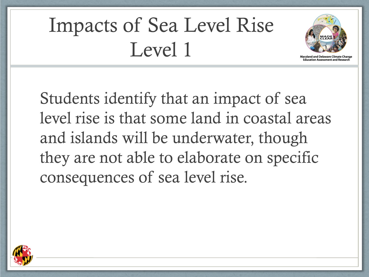# Impacts of Sea Level Rise Level 1



**Education Assessment and Res** 

Students identify that an impact of sea level rise is that some land in coastal areas and islands will be underwater, though they are not able to elaborate on specific consequences of sea level rise.

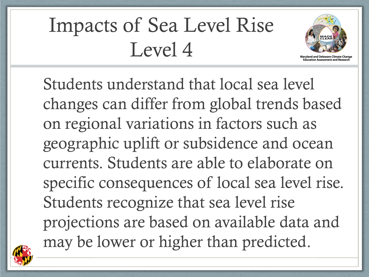# Impacts of Sea Level Rise Level 4



Students understand that local sea level changes can differ from global trends based on regional variations in factors such as geographic uplift or subsidence and ocean currents. Students are able to elaborate on specific consequences of local sea level rise. Students recognize that sea level rise projections are based on available data and may be lower or higher than predicted.

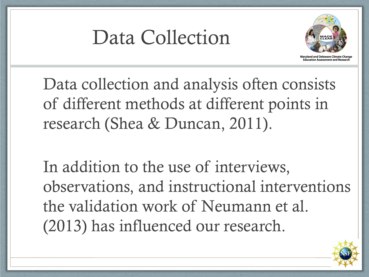### Data Collection



ducation Assessment and Re

Data collection and analysis often consists of different methods at different points in research (Shea & Duncan, 2011).

In addition to the use of interviews, observations, and instructional interventions the validation work of Neumann et al. (2013) has influenced our research.

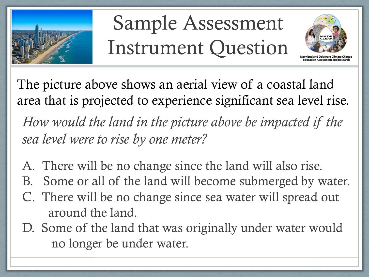

# Sample Assessment Instrument Question



*How would the land in the picture above be impacted if the sea level were to rise by one meter?* The picture above shows an aerial view of a coastal land area that is projected to experience significant sea level rise.

- A. There will be no change since the land will also rise.
- B. Some or all of the land will become submerged by water.
- C. There will be no change since sea water will spread out around the land.
- D. Some of the land that was originally under water would no longer be under water.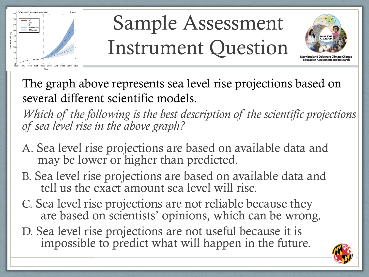

# Sample Assessment Instrument Question



The graph above represents sea level rise projections based on several different scientific models.

*Which of the following is the best description of the scientific projections of sea level rise in the above graph?*

- A. Sea level rise projections are based on available data and may be lower or higher than predicted.
- B. Sea level rise projections are based on available data and tell us the exact amount sea level will rise.
- C. Sea level rise projections are not reliable because they are based on scientists' opinions, which can be wrong.
- D. Sea level rise projections are not useful because it is impossible to predict what will happen in the future.